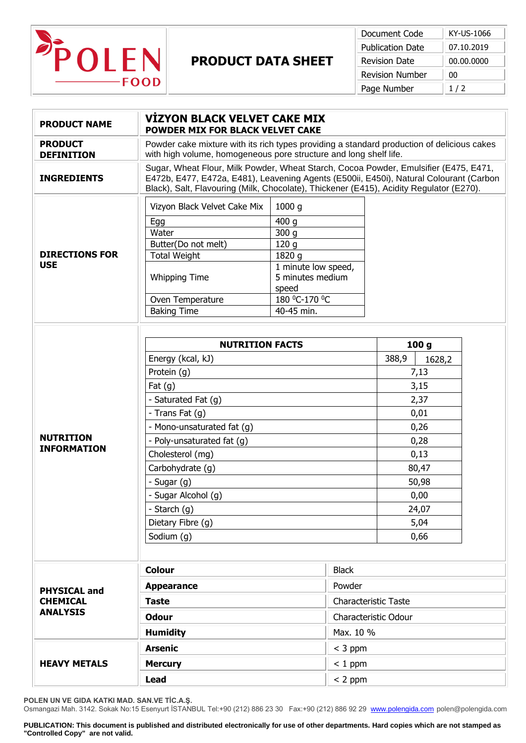

## **PRODUCT DATA SHEET**

| Document Code           | KY-US-1066 |
|-------------------------|------------|
| <b>Publication Date</b> | 07.10.2019 |
| <b>Revision Date</b>    | 00.00.0000 |
| <b>Revision Number</b>  | 00         |
| Page Number             | 1/2        |

| <b>PRODUCT NAME</b>                                       | <b>VIZYON BLACK VELVET CAKE MIX</b><br>POWDER MIX FOR BLACK VELVET CAKE                                                                                                                                                                                                                                            |  |                                                                                                                                                |  |  |
|-----------------------------------------------------------|--------------------------------------------------------------------------------------------------------------------------------------------------------------------------------------------------------------------------------------------------------------------------------------------------------------------|--|------------------------------------------------------------------------------------------------------------------------------------------------|--|--|
| <b>PRODUCT</b><br><b>DEFINITION</b>                       | Powder cake mixture with its rich types providing a standard production of delicious cakes<br>with high volume, homogeneous pore structure and long shelf life.                                                                                                                                                    |  |                                                                                                                                                |  |  |
| <b>INGREDIENTS</b>                                        | Sugar, Wheat Flour, Milk Powder, Wheat Starch, Cocoa Powder, Emulsifier (E475, E471,<br>E472b, E477, E472a, E481), Leavening Agents (E500ii, E450i), Natural Colourant (Carbon<br>Black), Salt, Flavouring (Milk, Chocolate), Thickener (E415), Acidity Regulator (E270).                                          |  |                                                                                                                                                |  |  |
| <b>DIRECTIONS FOR</b><br><b>USE</b>                       | Vizyon Black Velvet Cake Mix<br>1000g<br>400q<br>Egg<br>Water<br>300 <sub>g</sub><br>Butter(Do not melt)<br>120 <sub>g</sub><br><b>Total Weight</b><br>1820 g<br>1 minute low speed,<br><b>Whipping Time</b><br>5 minutes medium<br>speed<br>180 °C-170 °C<br>Oven Temperature<br><b>Baking Time</b><br>40-45 min. |  |                                                                                                                                                |  |  |
| <b>NUTRITION</b><br><b>INFORMATION</b>                    | <b>NUTRITION FACTS</b><br>Energy (kcal, kJ)<br>Protein (g)<br>Fat $(g)$<br>- Saturated Fat (g)<br>- Trans Fat (g)<br>- Mono-unsaturated fat (g)<br>- Poly-unsaturated fat (g)<br>Cholesterol (mg)<br>Carbohydrate (q)<br>- Sugar (g)<br>- Sugar Alcohol (g)<br>- Starch (g)<br>Dietary Fibre (g)<br>Sodium (g)     |  | 100 <sub>g</sub><br>388,9<br>1628,2<br>7,13<br>3,15<br>2,37<br>0,01<br>0,26<br>0,28<br>0,13<br>80,47<br>50,98<br>0,00<br>24,07<br>5,04<br>0,66 |  |  |
| <b>PHYSICAL and</b><br><b>CHEMICAL</b><br><b>ANALYSIS</b> | <b>Colour</b><br><b>Appearance</b><br><b>Taste</b><br><b>Odour</b><br><b>Humidity</b>                                                                                                                                                                                                                              |  | <b>Black</b><br>Powder<br><b>Characteristic Taste</b><br>Characteristic Odour<br>Max. 10 %                                                     |  |  |
| <b>HEAVY METALS</b>                                       | <b>Arsenic</b><br><b>Mercury</b><br><b>Lead</b>                                                                                                                                                                                                                                                                    |  | $<$ 3 ppm<br>$< 1$ ppm<br>$< 2$ ppm                                                                                                            |  |  |

**POLEN UN VE GIDA KATKI MAD. SAN.VE TİC.A.Ş.**

Osmangazi Mah. 3142. Sokak No:15 Esenyurt İSTANBUL Tel:+90 (212) 886 23 30 Fax:+90 (212) 886 92 29 [www.polengida.com](http://www.polengida.com/) polen@polengida.com

**PUBLICATION: This document is published and distributed electronically for use of other departments. Hard copies which are not stamped as "Controlled Copy" are not valid.**